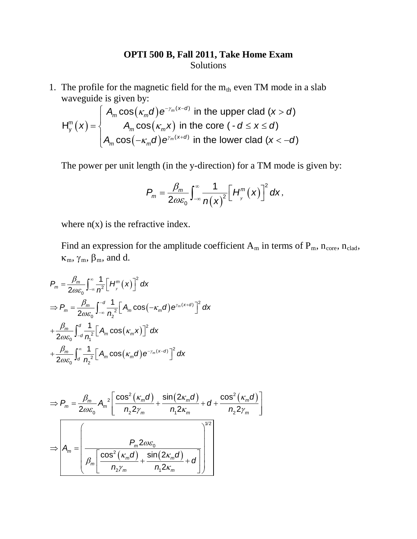## **OPTI 500 B, Fall 2011, Take Home Exam** Solutions

1. The profile for the magnetic field for the  $m_{th}$  even TM mode in a slab waveguide is given by:

$$
H_{y}^{m}(x) = \begin{cases} A_{m} \cos(\kappa_{m} d) e^{-\gamma_{m}(x-d)} & \text{in the upper clad } (x > d) \\ A_{m} \cos(\kappa_{m} x) & \text{in the core } (-d \leq x \leq d) \\ A_{m} \cos(-\kappa_{m} d) e^{\gamma_{m}(x+d)} & \text{in the lower clad } (x < -d) \end{cases}
$$

The power per unit length (in the y-direction) for a TM mode is given by:

$$
P_m = \frac{\beta_m}{2\omega\varepsilon_0} \int_{-\infty}^{\infty} \frac{1}{n(x)^2} \Big[H_{y}^{m}(x)\Big]^{2} dx,
$$

where  $n(x)$  is the refractive index.

Find an expression for the amplitude coefficient  $A_m$  in terms of  $P_m$ ,  $n_{core}$ ,  $n_{clad}$ ,  $\kappa_m$ ,  $\gamma_m$ ,  $\beta_m$ , and d.

$$
P_m = \frac{\beta_m}{2\omega\varepsilon_0} \int_{-\infty}^{\infty} \frac{1}{n^2} \Big[ H_{y}^{m}(x) \Big]^2 dx
$$
  
\n
$$
\Rightarrow P_m = \frac{\beta_m}{2\omega\varepsilon_0} \int_{-\infty}^{-d} \frac{1}{n^2} \Big[ A_m \cos(-\kappa_m d) e^{\gamma_m(x+d)} \Big]^2 dx
$$
  
\n
$$
+ \frac{\beta_m}{2\omega\varepsilon_0} \int_{-d}^{d} \frac{1}{n^2} \Big[ A_m \cos(\kappa_m x) \Big]^2 dx
$$
  
\n
$$
+ \frac{\beta_m}{2\omega\varepsilon_0} \int_{d}^{\infty} \frac{1}{n^2} \Big[ A_m \cos(\kappa_m d) e^{-\gamma_m(x-d)} \Big]^2 dx
$$

$$
\Rightarrow P_m = \frac{\beta_m}{2\omega\varepsilon_0} A_m^2 \left[ \frac{\cos^2(\kappa_m d)}{n_2 2\gamma_m} + \frac{\sin(2\kappa_m d)}{n_1 2\kappa_m} + d + \frac{\cos^2(\kappa_m d)}{n_2 2\gamma_m} \right]
$$

$$
\Rightarrow A_m = \left[ \frac{P_m 2\omega\varepsilon_0}{\beta_m \left[ \frac{\cos^2(\kappa_m d)}{n_2\gamma_m} + \frac{\sin(2\kappa_m d)}{n_1 2\kappa_m} + d \right]} \right]^{1/2}
$$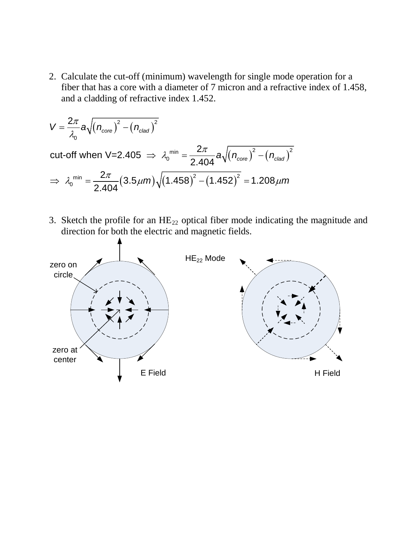2. Calculate the cut-off (minimum) wavelength for single mode operation for a fiber that has a core with a diameter of 7 micron and a refractive index of 1.458, and a cladding of refractive index 1.452.

$$
V = \frac{2\pi}{\lambda_0} a \sqrt{(n_{\text{core}})^2 - (n_{\text{clad}})^2}
$$
  
cut-off when V=2.405  $\Rightarrow \lambda_0^{\text{min}} = \frac{2\pi}{2.404} a \sqrt{(n_{\text{core}})^2 - (n_{\text{clad}})^2}$   
 $\Rightarrow \lambda_0^{\text{min}} = \frac{2\pi}{2.404} (3.5 \mu m) \sqrt{(1.458)^2 - (1.452)^2} = 1.208 \mu m$ 

3. Sketch the profile for an  $HE_{22}$  optical fiber mode indicating the magnitude and direction for both the electric and magnetic fields.

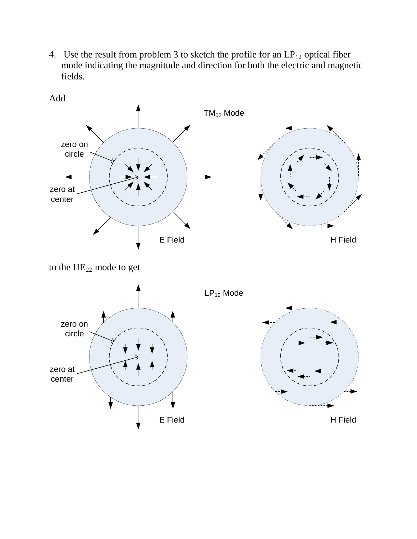4. Use the result from problem 3 to sketch the profile for an  $LP_{12}$  optical fiber mode indicating the magnitude and direction for both the electric and magnetic fields.



to the  $HE_{22}$  mode to get